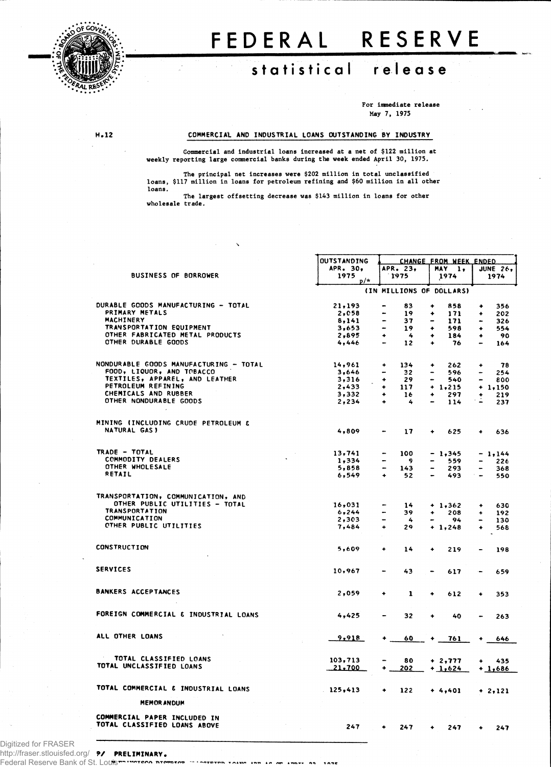

## **F E DERA L RESERV E**

## **\iliiijpf,- statistica l releas e**

**For immediate release May 7, 1975**

## **H.12 COMMERCIAL AND INDUSTRIAL LOANS OUTSTANDING BY INDUSTRY**

**Commercial and industrial loans increased at a net of \$122 million at weekly reporting large commercial banks during the week ended April 30, 1975.**

**The principal net increases were \$202 million in total unclassified loans, \$117 million in loans for petroleum refining and \$60 million in all other loans.** 

**The largest offsetting decrease was \$143 million in loans for other wholesale trade.**

|                                        | OUTSTANDING   | CHANGE FROM WEEK ENDED         |                             |                                 |  |
|----------------------------------------|---------------|--------------------------------|-----------------------------|---------------------------------|--|
|                                        | APR. 30.      | APR. 23.                       | MAY 1.                      | <b>JUNE 26,</b>                 |  |
| <b>BUSINESS OF BORROWER</b>            | 1975<br>$p/*$ | 1975                           | 1974                        | 1974                            |  |
|                                        |               |                                | (IN MILLIONS OF DOLLARS)    |                                 |  |
| DURABLE GOODS MANUFACTURING - TOTAL    | 21.193        | 83                             | ٠<br>858                    | 356<br>۰                        |  |
| PRIMARY METALS                         | 2,058         | 19<br>$\bullet$                | 171<br>۰                    | 202<br>۰                        |  |
| <b>MACHINERY</b>                       | 8,141         | -<br>37                        | 171                         | 326                             |  |
| TRANSPORTATION EQUIPMENT               | 3,653         | $\overline{\phantom{0}}$<br>19 | ٠<br>598                    | 554<br>٠                        |  |
| OTHER FABRICATED METAL PRODUCTS        | 2,895         | $\overline{4}$<br>٠            | 184<br>٠                    | 90<br>٠                         |  |
| <b>CTHER DURABLE GOODS</b>             | 4,446         | 12<br>$\overline{\phantom{0}}$ | 76<br>٠                     | 164                             |  |
| NONDURABLE GOODS MANUFACTURING - TOTAL | 14,961        | $\ddotmark$<br>134             | 262<br>۰                    | 78<br>۰                         |  |
| FOOD, LIQUOR, AND TOBACCO              | 3,646         | 32<br>-                        | 596                         | 254                             |  |
| TEXTILES, APPAREL, AND LEATHER         | 3,316         | $\ddotmark$<br>29              | 540<br>۰                    | $\overline{\phantom{0}}$<br>800 |  |
| PETROLEUM REFINING                     | 2.433         | ٠<br>117                       | $+ 1,215$                   | $+1,150$                        |  |
| CHEMICALS AND RUBBER                   | 3,332         | 16<br>۰                        | 297<br>۰                    | 219<br>٠                        |  |
| OTHER NONDURABLE GOODS                 | 2,234         | $\ddot{\phantom{1}}$<br>4      | 114                         | 237                             |  |
| MINING (INCLUDING CRUDE PETROLEUM &    |               |                                |                             |                                 |  |
| NATURAL GAS)                           | 4,809         | 17                             | 625<br>۰                    | 636<br>٠                        |  |
| TRADE - TOTAL                          | 13,741        | 100                            | $-1,345$                    | $-1,144$                        |  |
| <b>COMMODITY DEALERS</b>               | 1,334         | -<br>- 9                       | 559                         | 226                             |  |
| OTHER WHOLESALE                        | 5,858         | 143                            | 293                         | 368                             |  |
| RETAIL                                 | 6,549         | $\bullet$<br>52                | 493                         | 550<br>$\rightarrow$            |  |
| TRANSPORTATION, COMMUNICATION, AND     |               |                                |                             |                                 |  |
| OTHER PUBLIC UTILITIES - TOTAL         | 16,031        | 14                             | $+ 1,362$                   | 630<br>$\ddot{}$                |  |
| <b>TRANSPORTATION</b>                  | 6, 244        | 39                             | 208<br>۰                    | 192<br>٠                        |  |
| <b>COMMUNICATION</b>                   | 2,303         | -<br>4                         | 94                          | 130                             |  |
| OTHER PUBLIC UTILITIES                 | 7,484         | $\ddot{\bullet}$<br>29         | $+ 1,248$                   | ۰<br>568                        |  |
|                                        |               |                                |                             |                                 |  |
| <b>CONSTRUCTION</b>                    | 5,609         | 14<br>$\ddot{}$                | $\ddot{\phantom{0}}$<br>219 | 198                             |  |
| <b>SERVICES</b>                        | 10,967        | 43                             | 617                         | 659                             |  |
|                                        |               |                                |                             |                                 |  |
| <b>BANKERS ACCEPTANCES</b>             | 2,059         | 1<br>۰                         | 612<br>٠                    | 353<br>٠                        |  |
| FOREIGN COMMERCIAL & INDUSTRIAL LOANS  | 4,425         | 32                             | 40<br>٠                     | 263                             |  |
| ALL OTHER LOANS                        | 9,918         | 60                             | 761                         | 646                             |  |
| TOTAL CLASSIFIED LOANS                 |               |                                |                             |                                 |  |
| TOTAL UNCLASSIFIED LOANS               | 103,713       | 80                             | $+2,777$                    | 435                             |  |
|                                        | 21.700        | 202                            | $+1,624$                    | $+1,686$                        |  |
| TOTAL COMMERCIAL & INDUSTRIAL LOANS    | 125,413       | 122                            | $+ 4,401$                   | $+2,121$                        |  |
| <b>MEMOR ANDUM</b>                     |               |                                |                             |                                 |  |
| COMMERCIAL PAPER INCLUDED IN           |               |                                |                             |                                 |  |
| TOTAL CLASSIFIED LOANS ABOVE           | 247           | 247<br>٠                       | 247                         | 247                             |  |

*9/* **PRELIMINARY.** http://fraser.stlouisfed.org/ Digitized for FRASER

Federal Reserve Bank of St. Louis